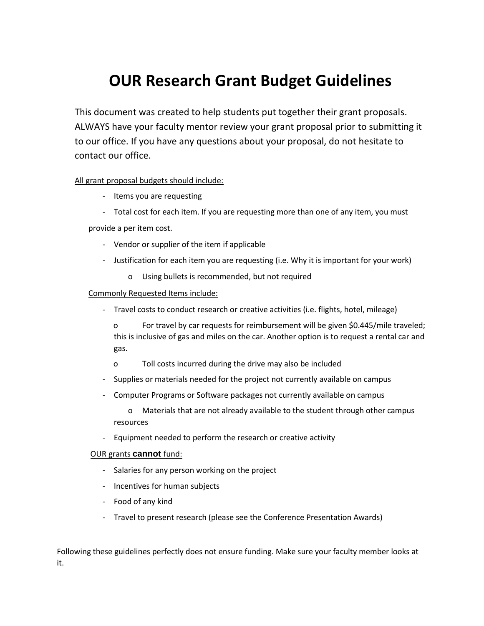# **OUR Research Grant Budget Guidelines**

This document was created to help students put together their grant proposals. ALWAYS have your faculty mentor review your grant proposal prior to submitting it to our office. If you have any questions about your proposal, do not hesitate to contact our office.

#### All grant proposal budgets should include:

- Items you are requesting
- Total cost for each item. If you are requesting more than one of any item, you must

provide a per item cost.

- Vendor or supplier of the item if applicable
- Justification for each item you are requesting (i.e. Why it is important for your work)
	- o Using bullets is recommended, but not required

#### Commonly Requested Items include:

- Travel costs to conduct research or creative activities (i.e. flights, hotel, mileage)

o For travel by car requests for reimbursement will be given \$0.445/mile traveled; this is inclusive of gas and miles on the car. Another option is to request a rental car and gas.

- o Toll costs incurred during the drive may also be included
- Supplies or materials needed for the project not currently available on campus
- Computer Programs or Software packages not currently available on campus

o Materials that are not already available to the student through other campus resources

- Equipment needed to perform the research or creative activity

#### OUR grants **cannot** fund:

- Salaries for any person working on the project
- Incentives for human subjects
- Food of any kind
- Travel to present research (please see the Conference Presentation Awards)

Following these guidelines perfectly does not ensure funding. Make sure your faculty member looks at it.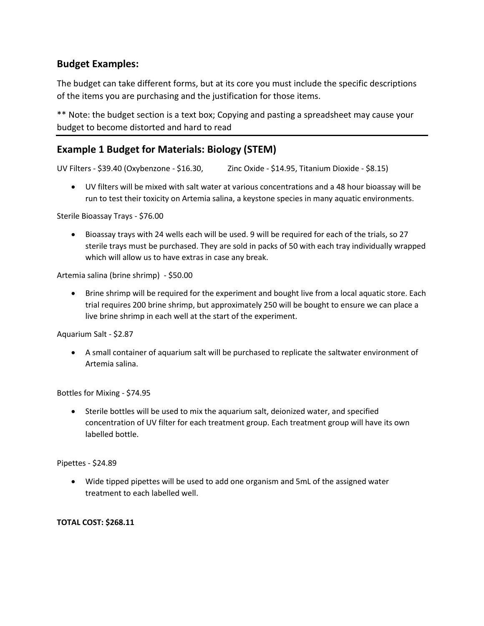## **Budget Examples:**

The budget can take different forms, but at its core you must include the specific descriptions of the items you are purchasing and the justification for those items.

\*\* Note: the budget section is a text box; Copying and pasting a spreadsheet may cause your budget to become distorted and hard to read

## **Example 1 Budget for Materials: Biology (STEM)**

UV Filters - \$39.40 (Oxybenzone - \$16.30, Zinc Oxide - \$14.95, Titanium Dioxide - \$8.15)

 UV filters will be mixed with salt water at various concentrations and a 48 hour bioassay will be run to test their toxicity on Artemia salina, a keystone species in many aquatic environments.

Sterile Bioassay Trays - \$76.00

 Bioassay trays with 24 wells each will be used. 9 will be required for each of the trials, so 27 sterile trays must be purchased. They are sold in packs of 50 with each tray individually wrapped which will allow us to have extras in case any break.

Artemia salina (brine shrimp) - \$50.00

• Brine shrimp will be required for the experiment and bought live from a local aquatic store. Each trial requires 200 brine shrimp, but approximately 250 will be bought to ensure we can place a live brine shrimp in each well at the start of the experiment.

Aquarium Salt - \$2.87

 A small container of aquarium salt will be purchased to replicate the saltwater environment of Artemia salina.

Bottles for Mixing - \$74.95

 Sterile bottles will be used to mix the aquarium salt, deionized water, and specified concentration of UV filter for each treatment group. Each treatment group will have its own labelled bottle.

Pipettes - \$24.89

 Wide tipped pipettes will be used to add one organism and 5mL of the assigned water treatment to each labelled well.

### **TOTAL COST: \$268.11**